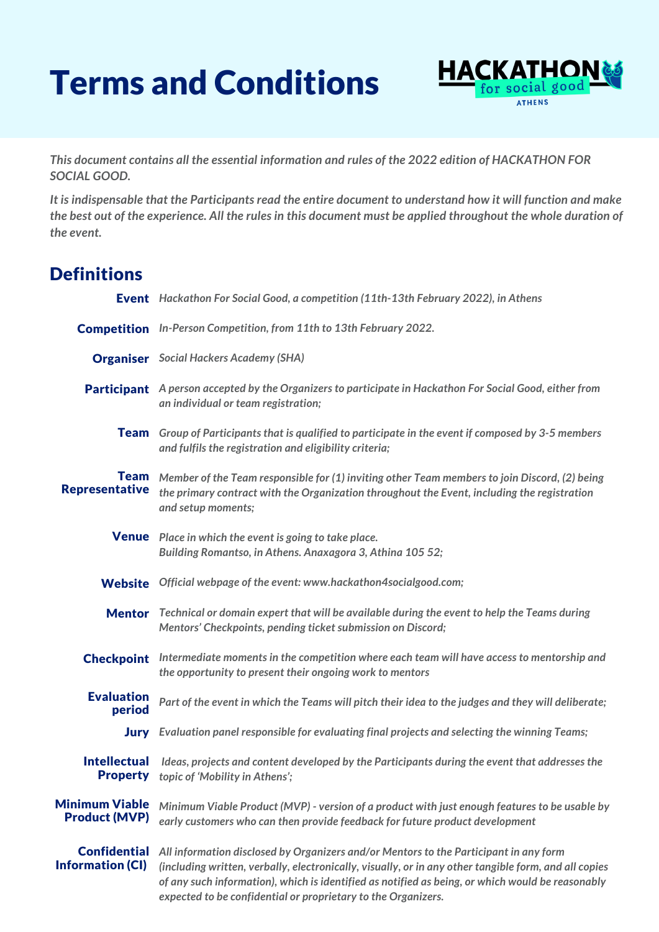

*This document contains all the essential information and rules of the 2022 edition of HACKATHON FOR SOCIAL GOOD.*

It is indispensable that the Participants read the entire document to understand how it will function and make the best out of the experience. All the rules in this document must be applied throughout the whole duration of *the event.*

#### **Definitions**

|                                                | <b>Event</b> Hackathon For Social Good, a competition (11th-13th February 2022), in Athens                                                                                                                                                                                                                                                                          |
|------------------------------------------------|---------------------------------------------------------------------------------------------------------------------------------------------------------------------------------------------------------------------------------------------------------------------------------------------------------------------------------------------------------------------|
|                                                | <b>Competition</b> In-Person Competition, from 11th to 13th February 2022.                                                                                                                                                                                                                                                                                          |
|                                                | <b>Organiser</b> Social Hackers Academy (SHA)                                                                                                                                                                                                                                                                                                                       |
|                                                | Participant A person accepted by the Organizers to participate in Hackathon For Social Good, either from<br>an individual or team registration;                                                                                                                                                                                                                     |
|                                                | <b>Team</b> Group of Participants that is qualified to participate in the event if composed by 3-5 members<br>and fulfils the registration and eligibility criteria;                                                                                                                                                                                                |
| <b>Team</b><br><b>Representative</b>           | Member of the Team responsible for (1) inviting other Team members to join Discord, (2) being<br>the primary contract with the Organization throughout the Event, including the registration<br>and setup moments;                                                                                                                                                  |
|                                                | <b>Venue</b> Place in which the event is going to take place.<br>Building Romantso, in Athens. Anaxagora 3, Athina 105 52;                                                                                                                                                                                                                                          |
|                                                | Website Official webpage of the event: www.hackathon4socialgood.com;                                                                                                                                                                                                                                                                                                |
|                                                | Mentor Technical or domain expert that will be available during the event to help the Teams during<br>Mentors' Checkpoints, pending ticket submission on Discord;                                                                                                                                                                                                   |
| <b>Checkpoint</b>                              | Intermediate moments in the competition where each team will have access to mentorship and<br>the opportunity to present their ongoing work to mentors                                                                                                                                                                                                              |
| <b>Evaluation</b><br>period                    | Part of the event in which the Teams will pitch their idea to the judges and they will deliberate;                                                                                                                                                                                                                                                                  |
|                                                | <b>Jury</b> Evaluation panel responsible for evaluating final projects and selecting the winning Teams;                                                                                                                                                                                                                                                             |
| <b>Intellectual</b><br><b>Property</b>         | Ideas, projects and content developed by the Participants during the event that addresses the<br>topic of 'Mobility in Athens';                                                                                                                                                                                                                                     |
| <b>Minimum Viable</b><br><b>Product (MVP)</b>  | Minimum Viable Product (MVP) - version of a product with just enough features to be usable by<br>early customers who can then provide feedback for future product development                                                                                                                                                                                       |
| <b>Confidential</b><br><b>Information (CI)</b> | All information disclosed by Organizers and/or Mentors to the Participant in any form<br>(including written, verbally, electronically, visually, or in any other tangible form, and all copies<br>of any such information), which is identified as notified as being, or which would be reasonably<br>expected to be confidential or proprietary to the Organizers. |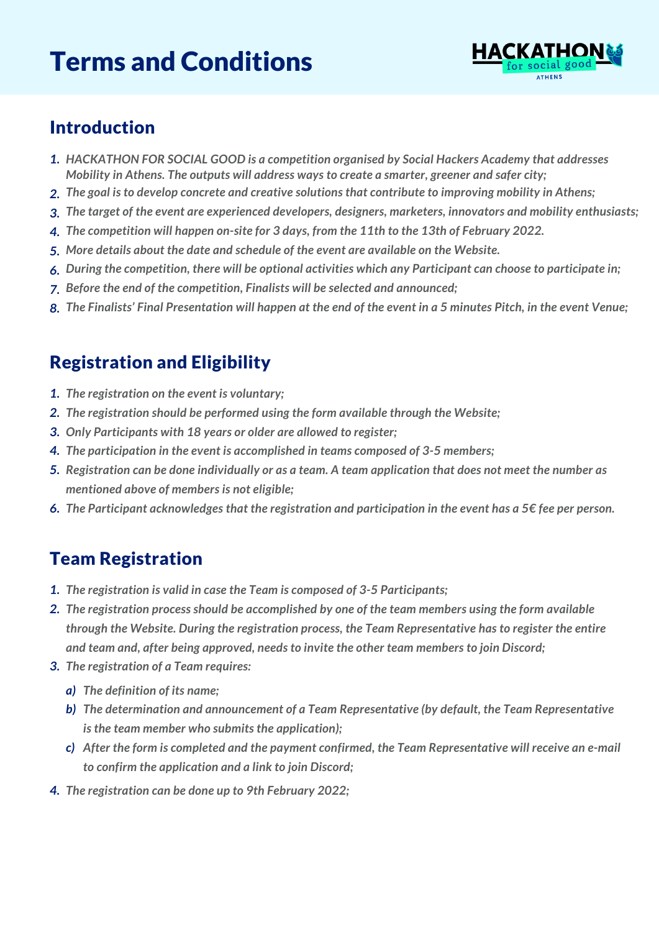

#### Introduction

- *HACKATHON FOR SOCIAL GOOD is a competition organised by Social Hackers Academy that addresses 1. Mobility in Athens. The outputs will address ways to create a smarter, greener and safer city;*
- 2. The goal is to develop concrete and creative solutions that contribute to improving mobility in Athens;
- *The target of the event are experienced developers, designers, marketers, innovators and mobility enthusiasts; 3.*
- *The competition will happen on-site for 3 days, from the 11th to the 13th of February 2022. 4.*
- *More details about the date and schedule of the event are available on the Website. 5.*
- 6. During the competition, there will be optional activities which any Participant can choose to participate in;
- *Before the end of the competition, Finalists will be selected and announced; 7.*
- 8. The Finalists' Final Presentation will happen at the end of the event in a 5 minutes Pitch, in the event Venue;

#### Registration and Eligibility

- *1. The registration on the event is voluntary;*
- *2. The registration should be performed using the form available through the Website;*
- *3. Only Participants with 18 years or older are allowed to register;*
- *4. The participation in the event is accomplished in teams composed of 3-5 members;*
- 5. Registration can be done individually or as a team. A team application that does not meet the number as *mentioned above of members is not eligible;*
- 6. The Participant acknowledges that the registration and participation in the event has a 5€ fee per person.

### Team Registration

- *1. The registration is valid in case the Team is composed of 3-5 Participants;*
- *2. The registration process should be accomplished by one of the team members using the form available through the Website. During the registration process, the Team Representative has to register the entire and team and, after being approved, needs to invite the other team members to join Discord;*
- *3. The registration of a Team requires:*
	- *a) The definition of its name;*
	- *b) The determination and announcement of a Team Representative (by default, the Team Representative is the team member who submits the application);*
	- *c) After the form is completed and the payment confirmed, the Team Representative will receive an e-mail to confirm the application and a link to join Discord;*
- *4. The registration can be done up to 9th February 2022;*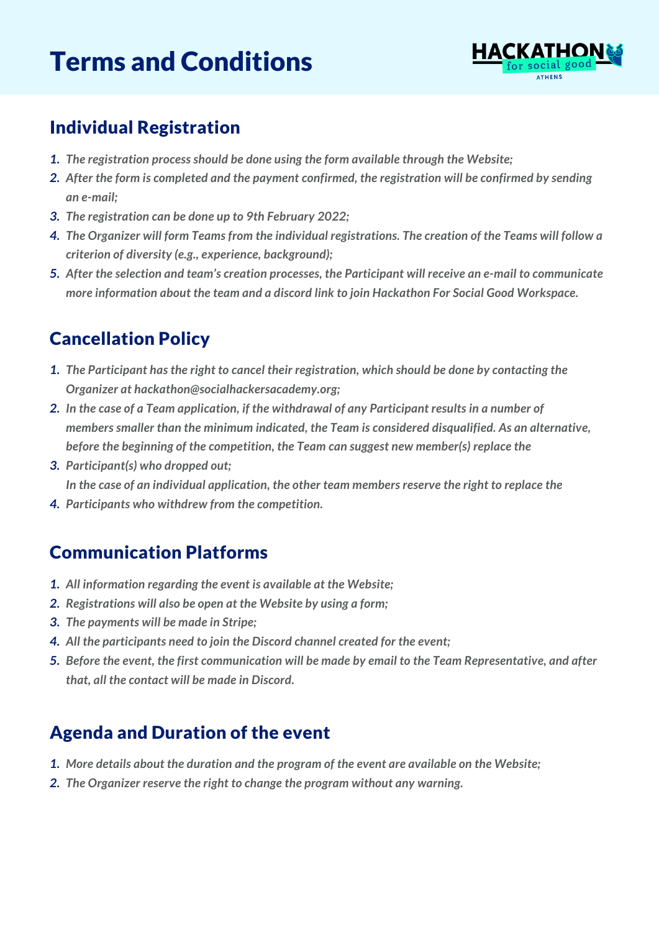

#### Individual Registration

- *The registration process should be done using the form available through the Website; 1.*
- *After the form is completed and the payment confirmed, the registration will be confirmed by sending 2. an e-mail;*
- *The registration can be done up to 9th February 2022; 3.*
- 4. The Organizer will form Teams from the individual registrations. The creation of the Teams will follow a *criterion of diversity (e.g., experience, background);*
- *After the selection and team's creation processes, the Participant will receive an e-mail to communicate 5. more information about the team and a discord link to join Hackathon For Social Good Workspace.*

#### Cancellation Policy

- *1. The Participant has the right to cancel their registration, which should be done by contacting the Organizer at hackathon@socialhackersacademy.org;*
- 2. In the case of a Team application, if the withdrawal of any Participant results in a number of *members smaller than the minimum indicated, the Team is considered disqualified. As an alternative, before the beginning of the competition, the Team can suggest new member(s) replace the*
- *3. Participant(s) who dropped out;*

*In the case of an individual application, the other team members reserve the right to replace the*

*4. Participants who withdrew from the competition.*

#### Communication Platforms

- *1. All information regarding the event is available at the Website;*
- *2. Registrations will also be open at the Website by using a form;*
- *3. The payments will be made in Stripe;*
- *4. All the participants need to join the Discord channel created for the event;*
- 5. Before the event, the first communication will be made by email to the Team Representative, and after *that, all the contact will be made in Discord.*

### Agenda and Duration of the event

- *1. More details about the duration and the program of the event are available on the Website;*
- *2. The Organizer reserve the right to change the program without any warning.*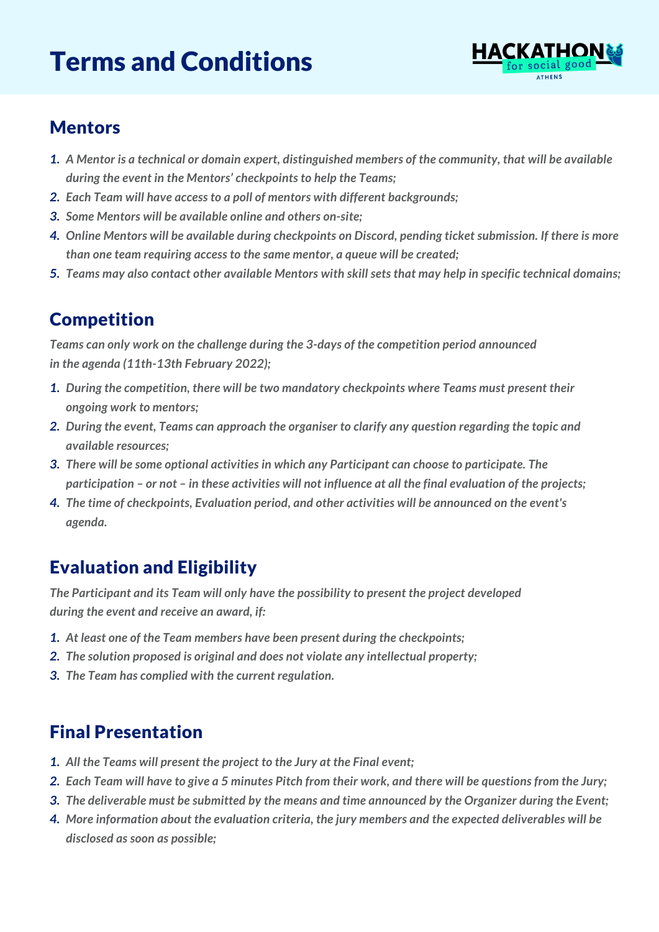

#### Mentors

- 1. A Mentor is a technical or domain expert, distinguished members of the community, that will be available *during the event in the Mentors' checkpoints to help the Teams;*
- *Each Team will have access to a poll of mentors with different backgrounds; 2.*
- *Some Mentors will be available online and others on-site; 3.*
- 4. Online Mentors will be available during checkpoints on Discord, pending ticket submission. If there is more *than one team requiring access to the same mentor, a queue will be created;*
- 5. Teams may also contact other available Mentors with skill sets that may help in specific technical domains;

#### Competition

*Teams can only work on the challenge during the 3-days of the competition period announced in the agenda (11th-13th February 2022);*

- *During the competition, there will be two mandatory checkpoints where Teams must present their 1. ongoing work to mentors;*
- *During the event, Teams can approach the organiser to clarify any question regarding the topic and 2. available resources;*
- *There will be some optional activities in which any Participant can choose to participate. The 3.* participation - or not - in these activities will not influence at all the final evaluation of the projects;
- *The time of checkpoints, Evaluation period, and other activities will be announced on the event's 4. agenda.*

### Evaluation and Eligibility

*The Participant and its Team will only have the possibility to present the project developed during the event and receive an award, if:*

- *At least one of the Team members have been present during the checkpoints; 1.*
- *The solution proposed is original and does not violate any intellectual property; 2.*
- *The Team has complied with the current regulation. 3.*

### Final Presentation

- *All the Teams will present the project to the Jury at the Final event; 1.*
- 2. Each Team will have to give a 5 minutes Pitch from their work, and there will be questions from the Jury;
- 3. The deliverable must be submitted by the means and time announced by the Organizer during the Event;
- *More information about the evaluation criteria, the jury members and the expected deliverables will be 4. disclosed as soon as possible;*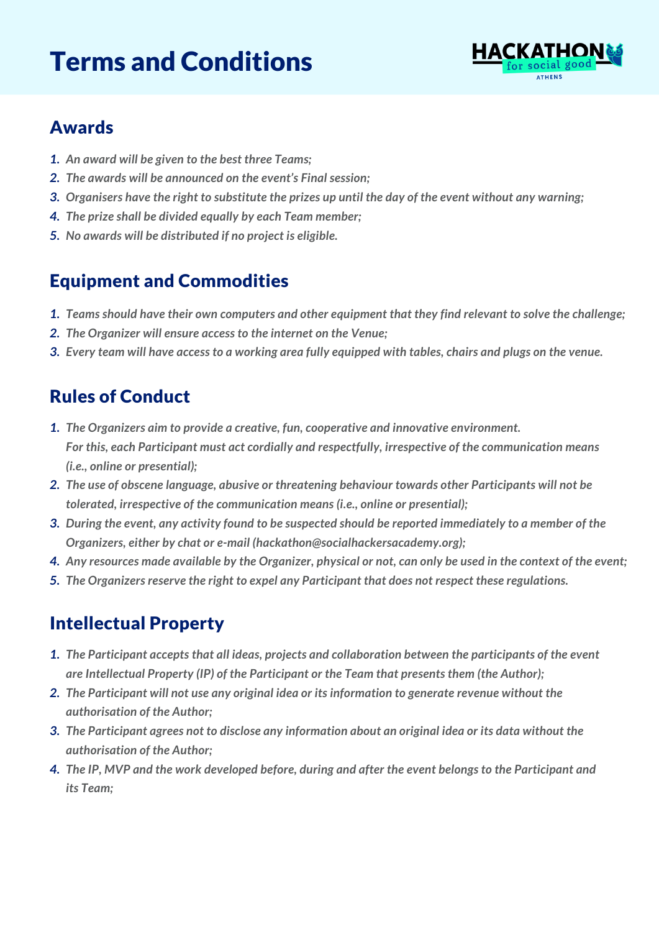

#### Awards

- *An award will be given to the best three Teams; 1.*
- *The awards will be announced on the event's Final session; 2.*
- 3. Organisers have the right to substitute the prizes up until the day of the event without any warning;
- *The prize shall be divided equally by each Team member; 4.*
- *No awards will be distributed if no project is eligible. 5.*

#### Equipment and Commodities

- 1. Teams should have their own computers and other equipment that they find relevant to solve the challenge;
- *The Organizer will ensure access to the internet on the Venue; 2.*
- 3. Every team will have access to a working area fully equipped with tables, chairs and plugs on the venue.

#### Rules of Conduct

- *The Organizers aim to provide a creative, fun, cooperative and innovative environment. 1. For this, each Participant must act cordially and respectfully, irrespective of the communication means (i.e., online or presential);*
- *The use of obscene language, abusive or threatening behaviour towards other Participants will not be 2. tolerated, irrespective of the communication means (i.e., online or presential);*
- 3. During the event, any activity found to be suspected should be reported immediately to a member of the *Organizers, either by chat or e-mail (hackathon@socialhackersacademy.org);*
- 4. Any resources made available by the Organizer, physical or not, can only be used in the context of the event;
- *The Organizers reserve the right to expel any Participant that does not respect these regulations. 5.*

### Intellectual Property

- *The Participant accepts that all ideas, projects and collaboration between the participants of the event 1. are Intellectual Property (IP) of the Participant or the Team that presents them (the Author);*
- *The Participant will not use any original idea or its information to generate revenue without the 2. authorisation of the Author;*
- 3. The Participant agrees not to disclose any information about an original idea or its data without the *authorisation of the Author;*
- 4. The IP, MVP and the work developed before, during and after the event belongs to the Participant and *its Team;*